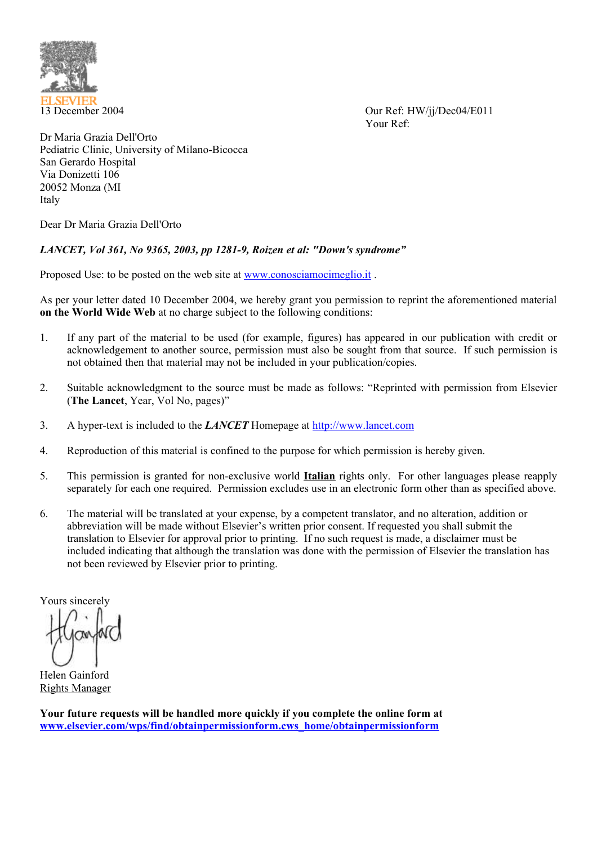

13 December 2004 Our Ref: HW/jj/Dec04/E011 Your Ref:

Dr Maria Grazia Dell'Orto Pediatric Clinic, University of Milano-Bicocca San Gerardo Hospital Via Donizetti 106 20052 Monza (MI Italy

Dear Dr Maria Grazia Dell'Orto

## *LANCET, Vol 361, No 9365, 2003, pp 1281-9, Roizen et al: "Down's syndrome"*

Proposed Use: to be posted on the web site at www.conosciamocimeglio.it.

As per your letter dated 10 December 2004, we hereby grant you permission to reprint the aforementioned material **on the World Wide Web** at no charge subject to the following conditions:

- 1. If any part of the material to be used (for example, figures) has appeared in our publication with credit or acknowledgement to another source, permission must also be sought from that source. If such permission is not obtained then that material may not be included in your publication/copies.
- 2. Suitable acknowledgment to the source must be made as follows: "Reprinted with permission from Elsevier (**The Lancet**, Year, Vol No, pages)"
- 3. A hyper-text is included to the *LANCET* Homepage at http://www.lancet.com
- 4. Reproduction of this material is confined to the purpose for which permission is hereby given.
- 5. This permission is granted for non-exclusive world **Italian** rights only. For other languages please reapply separately for each one required. Permission excludes use in an electronic form other than as specified above.
- 6. The material will be translated at your expense, by a competent translator, and no alteration, addition or abbreviation will be made without Elsevier's written prior consent. If requested you shall submit the translation to Elsevier for approval prior to printing. If no such request is made, a disclaimer must be included indicating that although the translation was done with the permission of Elsevier the translation has not been reviewed by Elsevier prior to printing.

Yours sincerely

Helen Gainford Rights Manager

**Your future requests will be handled more quickly if you complete the online form at www.elsevier.com/wps/find/obtainpermissionform.cws\_home/obtainpermissionform**